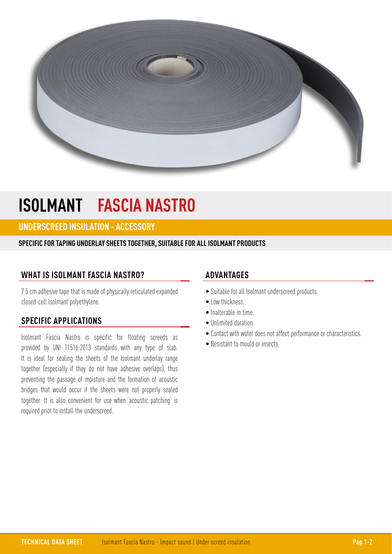

## **ISOLMANT FASCIA NASTRO**

## **UNDERSCREED INSULATION - ACCESSORY**

### **SPECIFIC FOR TAPING UNDERLAY SHEETS TOGETHER, SUITABLE FOR ALL ISOLMANT PRODUCTS**

## **WHAT IS ISOLMANT FASCIA NASTRO?**

7.5 cm adhesive tape that is made of physically reticulated expanded closed-cell Isolmant polyethylene.

## **SPECIFIC APPLICATIONS**

Isolmant Fascia Nastro is specific for floating screeds as provided by UNI 11516:2013 standards with any type of slab. It is ideal for sealing the sheets of the Isolmant underlay range together (especially if they do not have adhesive overlaps), thus preventing the passage of moisture and the formation of acoustic bridges that would occur if the sheets were not properly sealed together. It is also convenient for use when 'acoustic patching' is required prior to install the underscreed.

## **ADVANTAGES**

- Suitable for all Isolmant underscreed products.
- Low thickness
- Inalterable in time.
- Unlimited duration.
- Contact with water does not affect performance or characteristics.
- Resistant to mould or insects.